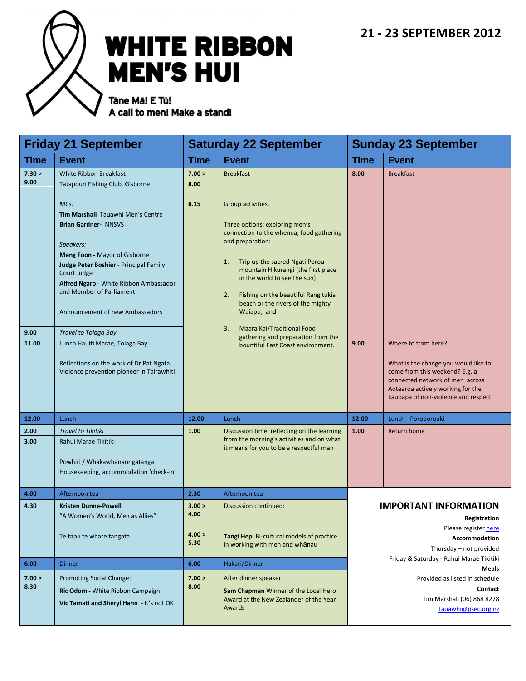

# **WHITE RIBBON MEN'S HUI**

Tâne Mâ! E Tū! A call to men! Make a stand!

| <b>Friday 21 September</b>      |                                                                                                                                                                                                                                                                                                                                                                                                                                                                                                          | <b>Saturday 22 September</b>     |                                                                                                                                                                                                                                                                                                                                                                                                                                                                        | <b>Sunday 23 September</b>                                                                                       |                                                                                                                   |
|---------------------------------|----------------------------------------------------------------------------------------------------------------------------------------------------------------------------------------------------------------------------------------------------------------------------------------------------------------------------------------------------------------------------------------------------------------------------------------------------------------------------------------------------------|----------------------------------|------------------------------------------------------------------------------------------------------------------------------------------------------------------------------------------------------------------------------------------------------------------------------------------------------------------------------------------------------------------------------------------------------------------------------------------------------------------------|------------------------------------------------------------------------------------------------------------------|-------------------------------------------------------------------------------------------------------------------|
| Time                            | <b>Event</b>                                                                                                                                                                                                                                                                                                                                                                                                                                                                                             | <b>Time</b>                      | <b>Event</b>                                                                                                                                                                                                                                                                                                                                                                                                                                                           | <b>Time</b>                                                                                                      | <b>Event</b>                                                                                                      |
| 7.30 ><br>9.00<br>9.00<br>11.00 | White Ribbon Breakfast<br>Tatapouri Fishing Club, Gisborne<br>MCs:<br>Tim Marshall Tauawhi Men's Centre<br><b>Brian Gardner- NNSVS</b><br>Speakers:<br>Meng Foon - Mayor of Gisborne<br>Judge Peter Boshier - Principal Family<br>Court Judge<br>Alfred Ngaro - White Ribbon Ambassador<br>and Member of Parliament<br>Announcement of new Ambassadors<br>Travel to Tolaga Bay<br>Lunch Hauiti Marae, Tolaga Bay<br>Reflections on the work of Dr Pat Ngata<br>Violence prevention pioneer in Tairawhiti | 7.00 ><br>8.00<br>8.15           | <b>Breakfast</b><br>Group activities.<br>Three options: exploring men's<br>connection to the whenua, food gathering<br>and preparation:<br>Trip up the sacred Ngati Porou<br>1.<br>mountain Hikurangi (the first place<br>in the world to see the sun)<br>2.<br>Fishing on the beautiful Rangitukia<br>beach or the rivers of the mighty<br>Waiapu; and<br>3.<br>Maara Kai/Traditional Food<br>gathering and preparation from the<br>bountiful East Coast environment. | 8.00<br>9.00                                                                                                     | <b>Breakfast</b><br>Where to from here?<br>What is the change you would like to<br>come from this weekend? E.g. a |
|                                 |                                                                                                                                                                                                                                                                                                                                                                                                                                                                                                          |                                  |                                                                                                                                                                                                                                                                                                                                                                                                                                                                        |                                                                                                                  | connected network of men across<br>Aotearoa actively working for the<br>kaupapa of non-violence and respect       |
| 12.00                           | Lunch                                                                                                                                                                                                                                                                                                                                                                                                                                                                                                    | 12.00                            | Lunch                                                                                                                                                                                                                                                                                                                                                                                                                                                                  | 12.00                                                                                                            | Lunch - Poroporoaki                                                                                               |
| 2.00<br>3.00                    | <b>Travel to Tikitiki</b><br>Rahui Marae Tikitiki<br>Powhiri / Whakawhanaungatanga<br>Housekeeping, accommodation 'check-in'                                                                                                                                                                                                                                                                                                                                                                             | 1.00                             | Discussion time: reflecting on the learning<br>from the morning's activities and on what<br>it means for you to be a respectful man                                                                                                                                                                                                                                                                                                                                    | 1.00                                                                                                             | Return home                                                                                                       |
| 4.00                            | Afternoon tea                                                                                                                                                                                                                                                                                                                                                                                                                                                                                            | 2.30                             | Afternoon tea                                                                                                                                                                                                                                                                                                                                                                                                                                                          |                                                                                                                  |                                                                                                                   |
| 4.30                            | Kristen Dunne-Powell<br>"A Women's World, Men as Allies"<br>Te tapu te whare tangata                                                                                                                                                                                                                                                                                                                                                                                                                     | 3.00 ><br>4.00<br>4.00 ><br>5.30 | Discussion continued:<br>Tangi Hepi Bi-cultural models of practice<br>in working with men and whanau                                                                                                                                                                                                                                                                                                                                                                   | <b>IMPORTANT INFORMATION</b><br>Registration<br>Please register here<br>Accommodation<br>Thursday - not provided |                                                                                                                   |
| 6.00                            | <b>Dinner</b>                                                                                                                                                                                                                                                                                                                                                                                                                                                                                            | 6.00                             | Hakari/Dinner                                                                                                                                                                                                                                                                                                                                                                                                                                                          | Friday & Saturday - Rahui Marae Tikitiki<br>Meals                                                                |                                                                                                                   |
| 7.00 ><br>8.30                  | Promoting Social Change:<br>Ric Odom - White Ribbon Campaign<br>Vic Tamati and Sheryl Hann - It's not OK                                                                                                                                                                                                                                                                                                                                                                                                 | 7.00 ><br>8.00                   | After dinner speaker:<br>Sam Chapman Winner of the Local Hero<br>Award at the New Zealander of the Year<br>Awards                                                                                                                                                                                                                                                                                                                                                      |                                                                                                                  | Provided as listed in schedule<br>Contact<br>Tim Marshall (06) 868 8278<br>Tauawhi@psec.org.nz                    |